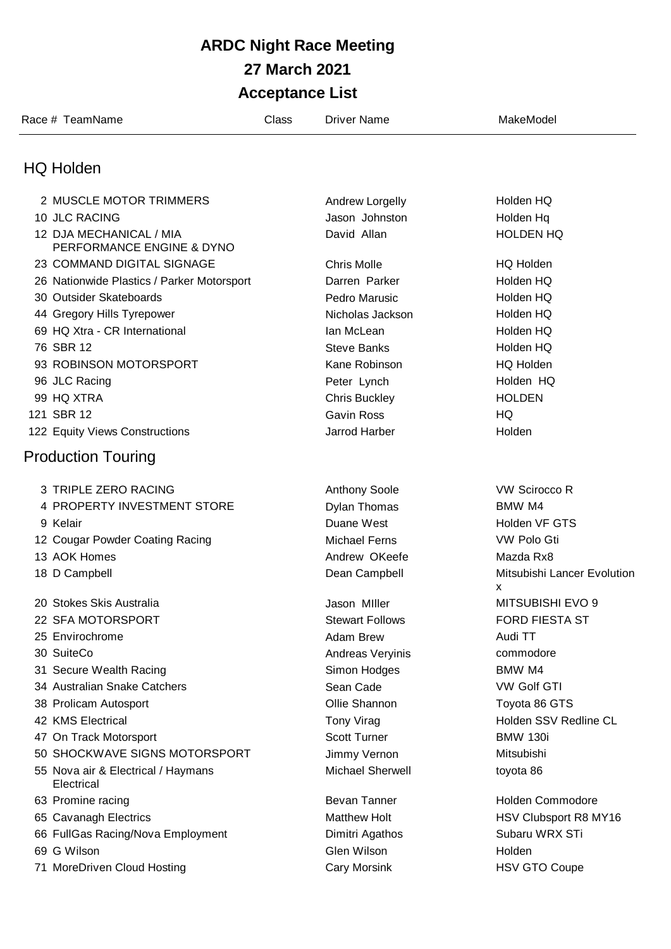## **ARDC Night Race Meeting 27 March 2021 Acceptance List**

| Race # TeamName                                  | Class | Driver Name                       | MakeModel                        |
|--------------------------------------------------|-------|-----------------------------------|----------------------------------|
| <b>HQ Holden</b>                                 |       |                                   |                                  |
| 2 MUSCLE MOTOR TRIMMERS                          |       |                                   | Holden HQ                        |
| 10 JLC RACING                                    |       | Andrew Lorgelly<br>Jason Johnston | Holden Hq                        |
| 12 DJA MECHANICAL / MIA                          |       | David Allan                       | <b>HOLDEN HQ</b>                 |
| PERFORMANCE ENGINE & DYNO                        |       |                                   |                                  |
| 23 COMMAND DIGITAL SIGNAGE                       |       | <b>Chris Molle</b>                | <b>HQ Holden</b>                 |
| 26 Nationwide Plastics / Parker Motorsport       |       | Darren Parker                     | Holden HQ                        |
| 30 Outsider Skateboards                          |       | Pedro Marusic                     | Holden HQ                        |
| 44 Gregory Hills Tyrepower                       |       | Nicholas Jackson                  | Holden HQ                        |
| 69 HQ Xtra - CR International                    |       | lan McLean                        | Holden HQ                        |
| 76 SBR 12                                        |       | <b>Steve Banks</b>                | Holden HQ                        |
| 93 ROBINSON MOTORSPORT                           |       | Kane Robinson                     | <b>HQ Holden</b>                 |
| 96 JLC Racing                                    |       | Peter Lynch                       | Holden HQ                        |
| 99 HQ XTRA                                       |       | <b>Chris Buckley</b>              | <b>HOLDEN</b>                    |
| 121 SBR 12                                       |       | <b>Gavin Ross</b>                 | HQ                               |
| 122 Equity Views Constructions                   |       | Jarrod Harber                     | Holden                           |
| <b>Production Touring</b>                        |       |                                   |                                  |
| 3 TRIPLE ZERO RACING                             |       | <b>Anthony Soole</b>              | <b>VW Scirocco R</b>             |
| 4 PROPERTY INVESTMENT STORE                      |       | <b>Dylan Thomas</b>               | BMW M4                           |
| 9 Kelair                                         |       | Duane West                        | Holden VF GTS                    |
| 12 Cougar Powder Coating Racing                  |       | <b>Michael Ferns</b>              | VW Polo Gti                      |
| 13 AOK Homes                                     |       | Andrew OKeefe                     | Mazda Rx8                        |
| 18 D Campbell                                    |       | Dean Campbell                     | Mitsubishi Lancer Evolution<br>x |
| 20 Stokes Skis Australia                         |       | Jason Miller                      | <b>MITSUBISHI EVO 9</b>          |
| 22 SFA MOTORSPORT                                |       | <b>Stewart Follows</b>            | <b>FORD FIESTA ST</b>            |
| 25 Envirochrome                                  |       | Adam Brew                         | Audi TT                          |
| 30 SuiteCo                                       |       | Andreas Veryinis                  | commodore                        |
| 31 Secure Wealth Racing                          |       | Simon Hodges                      | BMW M4                           |
| 34 Australian Snake Catchers                     |       | Sean Cade                         | <b>VW Golf GTI</b>               |
| 38 Prolicam Autosport                            |       | Ollie Shannon                     | Toyota 86 GTS                    |
| 42 KMS Electrical                                |       | Tony Virag                        | Holden SSV Redline CL            |
| 47 On Track Motorsport                           |       | <b>Scott Turner</b>               | <b>BMW 130i</b>                  |
| 50 SHOCKWAVE SIGNS MOTORSPORT                    |       | Jimmy Vernon                      | Mitsubishi                       |
| 55 Nova air & Electrical / Haymans<br>Electrical |       | <b>Michael Sherwell</b>           | toyota 86                        |
| 63 Promine racing                                |       | <b>Bevan Tanner</b>               | <b>Holden Commodore</b>          |
| 65 Cavanagh Electrics                            |       | <b>Matthew Holt</b>               | HSV Clubsport R8 MY16            |
| 66 FullGas Racing/Nova Employment                |       | Dimitri Agathos                   | Subaru WRX STi                   |
| 69 G Wilson                                      |       | Glen Wilson                       | Holden                           |
| 71 MoreDriven Cloud Hosting                      |       | Cary Morsink                      | <b>HSV GTO Coupe</b>             |